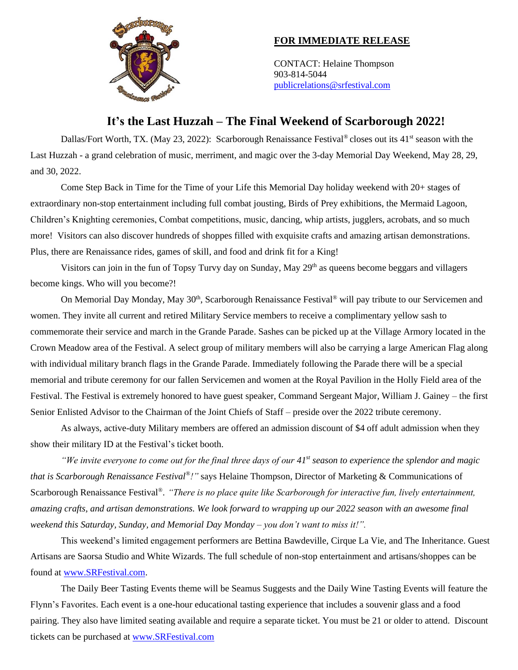

## **FOR IMMEDIATE RELEASE**

CONTACT: Helaine Thompson 903-814-5044 [publicrelations@srfestival.com](mailto:publicrelations@srfestival.com)

## **It's the Last Huzzah – The Final Weekend of Scarborough 2022!**

Dallas/Fort Worth, TX. (May 23, 2022): Scarborough Renaissance Festival<sup>®</sup> closes out its 41<sup>st</sup> season with the Last Huzzah - a grand celebration of music, merriment, and magic over the 3-day Memorial Day Weekend, May 28, 29, and 30, 2022.

Come Step Back in Time for the Time of your Life this Memorial Day holiday weekend with 20+ stages of extraordinary non-stop entertainment including full combat jousting, Birds of Prey exhibitions, the Mermaid Lagoon, Children's Knighting ceremonies, Combat competitions, music, dancing, whip artists, jugglers, acrobats, and so much more! Visitors can also discover hundreds of shoppes filled with exquisite crafts and amazing artisan demonstrations. Plus, there are Renaissance rides, games of skill, and food and drink fit for a King!

Visitors can join in the fun of Topsy Turvy day on Sunday, May 29<sup>th</sup> as queens become beggars and villagers become kings. Who will you become?!

On Memorial Day Monday, May 30<sup>th</sup>, Scarborough Renaissance Festival<sup>®</sup> will pay tribute to our Servicemen and women. They invite all current and retired Military Service members to receive a complimentary yellow sash to commemorate their service and march in the Grande Parade. Sashes can be picked up at the Village Armory located in the Crown Meadow area of the Festival. A select group of military members will also be carrying a large American Flag along with individual military branch flags in the Grande Parade. Immediately following the Parade there will be a special memorial and tribute ceremony for our fallen Servicemen and women at the Royal Pavilion in the Holly Field area of the Festival. The Festival is extremely honored to have guest speaker, Command Sergeant Major, William J. Gainey – the first Senior Enlisted Advisor to the Chairman of the Joint Chiefs of Staff – preside over the 2022 tribute ceremony.

As always, active-duty Military members are offered an admission discount of \$4 off adult admission when they show their military ID at the Festival's ticket booth.

*"We invite everyone to come out for the final three days of our 41st season to experience the splendor and magic that is Scarborough Renaissance Festival® !"* says Helaine Thompson, Director of Marketing & Communications of Scarborough Renaissance Festival®. *"There is no place quite like Scarborough for interactive fun, lively entertainment, amazing crafts, and artisan demonstrations. We look forward to wrapping up our 2022 season with an awesome final weekend this Saturday, Sunday, and Memorial Day Monday – you don't want to miss it!".* 

This weekend's limited engagement performers are Bettina Bawdeville, Cirque La Vie, and The Inheritance. Guest Artisans are Saorsa Studio and White Wizards. The full schedule of non-stop entertainment and artisans/shoppes can be found at [www.SRFestival.com.](http://www.srfestival.com/)

The Daily Beer Tasting Events theme will be Seamus Suggests and the Daily Wine Tasting Events will feature the Flynn's Favorites. Each event is a one-hour educational tasting experience that includes a souvenir glass and a food pairing. They also have limited seating available and require a separate ticket. You must be 21 or older to attend. Discount tickets can be purchased at [www.SRFestival.com](http://www.srfestival.com/)